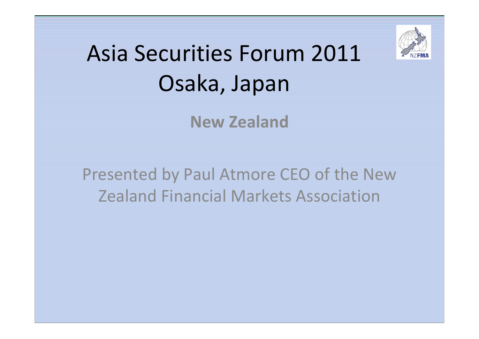

## Asia Securities Forum 2011 Osaka, Japan

**New Zealand**

Presented by Paul Atmore CEO of the New Zealand Financial Markets Association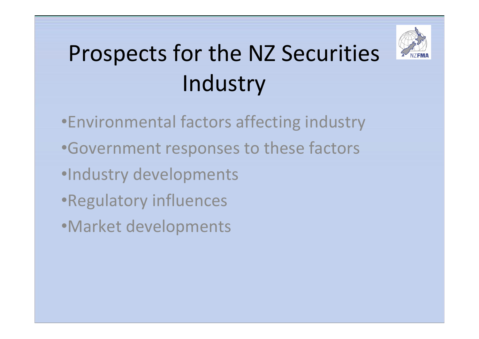

# Prospects for the NZ Securities Industry

- •Environmental factors affecting industry
- •Government responses to these factors
- •Industry developments
- •Regulatory influences
- •Market developments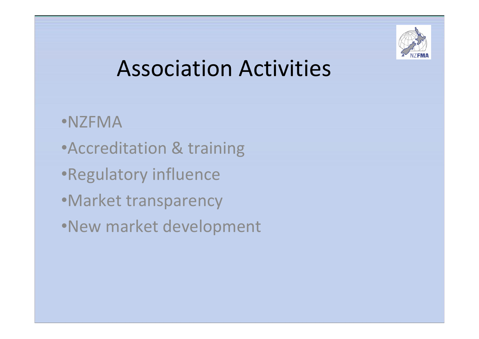

### Association Activities

- •NZFMA
- •Accreditation & training
- •Regulatory influence
- •Market transparency
- •New market development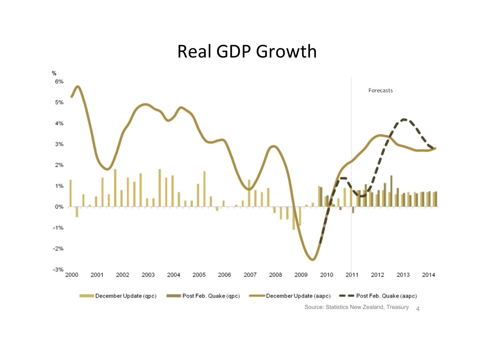#### Real GDP Growth



Source: Statistics New Zealand, Treasury 4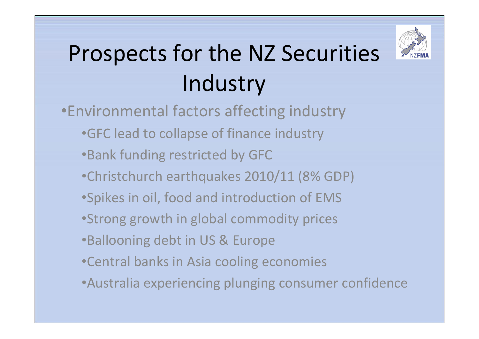

# Prospects for the NZ Securities Industry

- •Environmental factors affecting industry
	- •GFC lead to collapse of finance industry
	- •Bank funding restricted by GFC
	- •Christchurch earthquakes 2010/11 (8% GDP)
	- •Spikes in oil, food and introduction of EMS
	- •Strong growth in global commodity prices
	- •Ballooning debt in US & Europe
	- •Central banks in Asia cooling economies
	- •Australia experiencing plunging consumer confidence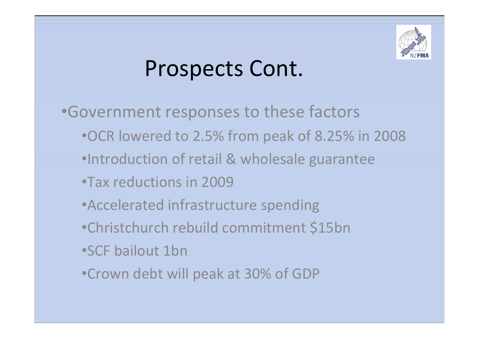

#### Prospects Cont.

- •Government responses to these factors
	- •OCR lowered to 2.5% from peak of 8.25% in 2008
	- •Introduction of retail & wholesale guarantee
	- •Tax reductions in 2009
	- •Accelerated infrastructure spending
	- •Christchurch rebuild commitment \$15bn
	- •SCF bailout 1bn
	- •Crown debt will peak at 30% of GDP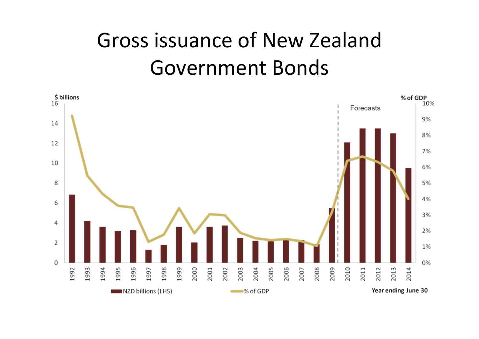#### Gross issuance of New Zealand Government Bonds

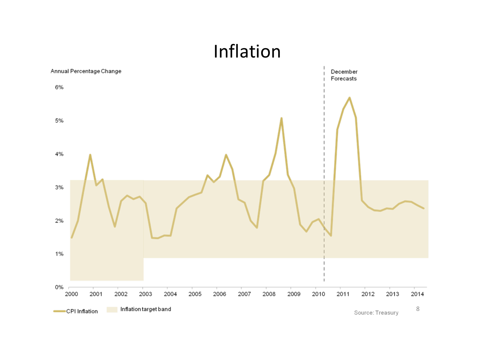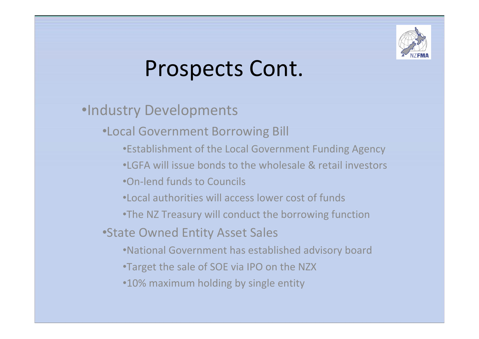

## Prospects Cont.

- •Industry Developments
	- •Local Government Borrowing Bill
		- •Establishment of the Local Government Funding Agency
		- •LGFA will issue bonds to the wholesale & retail investors
		- •On‐lend funds to Councils
		- •Local authorities will access lower cost of funds
		- •The NZ Treasury will conduct the borrowing function
	- •State Owned Entity Asset Sales
		- •National Government has established advisory board
		- •Target the sale of SOE via IPO on the NZX
		- •10% maximum holding by single entity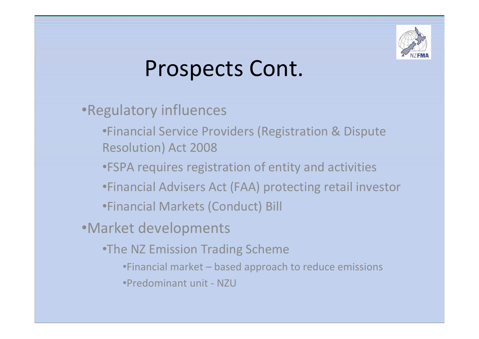

### Prospects Cont.

- •Regulatory influences
	- •Financial Service Providers (Registration & Dispute Resolution) Act 2008
	- •FSPA requires registration of entity and activities
	- •Financial Advisers Act (FAA) protecting retail investor
	- •Financial Markets (Conduct) Bill
- •Market developments
	- •The NZ Emission Trading Scheme
		- •Financial market based approach to reduce emissions
		- •Predominant unit ‐ NZU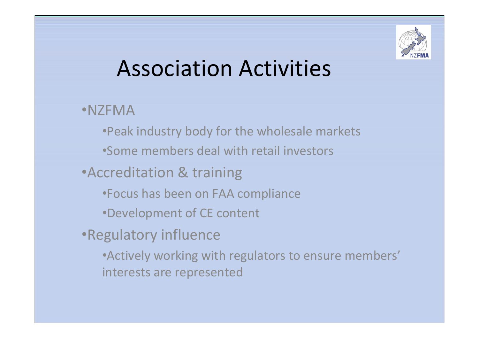

## Association Activities

#### •NZFMA

•Peak industry body for the wholesale markets •Some members deal with retail investors

#### •Accreditation & training

- •Focus has been on FAA compliance
- •Development of CE content

#### •Regulatory influence

•Actively working with regulators to ensure members' interests are represented